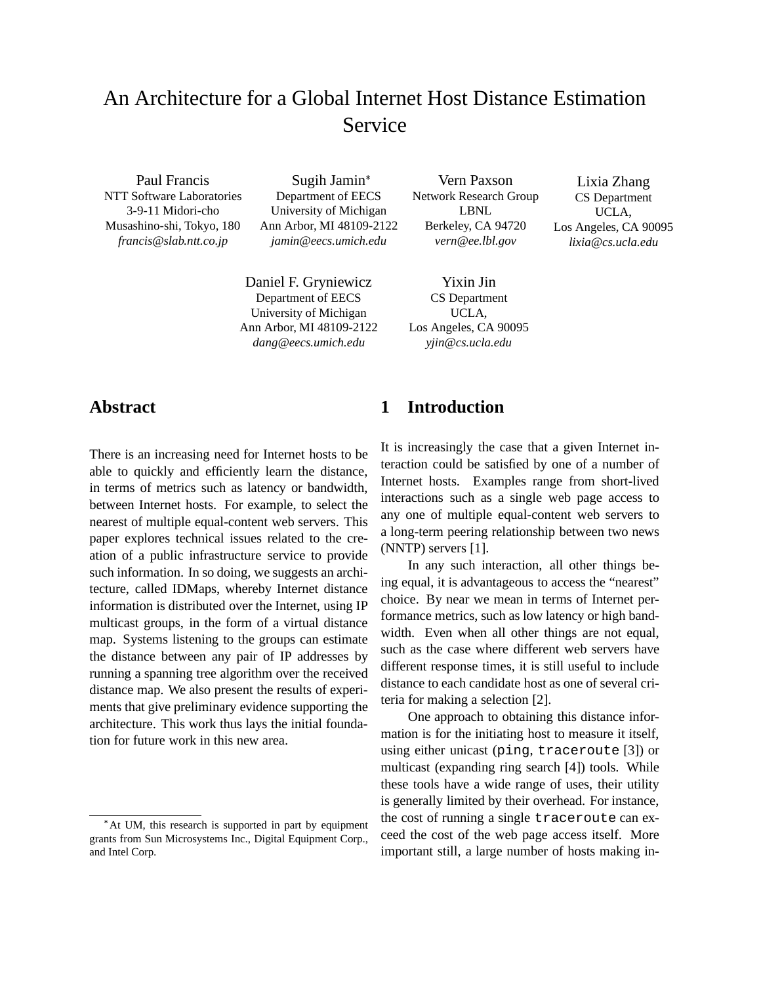# An Architecture for a Global Internet Host Distance Estimation Service

Paul Francis NTT Software Laboratories 3-9-11 Midori-cho Musashino-shi, Tokyo, 180 *francis@slab.ntt.co.jp*

Sugih Jamin Department of EECS University of Michigan Ann Arbor, MI 48109-2122 *jamin@eecs.umich.edu*

Daniel F. Gryniewicz Department of EECS University of Michigan Ann Arbor, MI 48109-2122 *dang@eecs.umich.edu*

Vern Paxson Network Research Group LBNL Berkeley, CA 94720 *vern@ee.lbl.gov*

Yixin Jin CS Department UCLA, Los Angeles, CA 90095 *yjin@cs.ucla.edu*

Lixia Zhang CS Department UCLA, Los Angeles, CA 90095 *lixia@cs.ucla.edu*

## **Abstract**

There is an increasing need for Internet hosts to be able to quickly and efficiently learn the distance, in terms of metrics such as latency or bandwidth, between Internet hosts. For example, to select the nearest of multiple equal-content web servers. This paper explores technical issues related to the creation of a public infrastructure service to provide such information. In so doing, we suggests an architecture, called IDMaps, whereby Internet distance information is distributed over the Internet, using IP multicast groups, in the form of a virtual distance map. Systems listening to the groups can estimate the distance between any pair of IP addresses by running a spanning tree algorithm over the received distance map. We also present the results of experiments that give preliminary evidence supporting the architecture. This work thus lays the initial foundation for future work in this new area.

## **1 Introduction**

It is increasingly the case that a given Internet interaction could be satisfied by one of a number of Internet hosts. Examples range from short-lived interactions such as a single web page access to any one of multiple equal-content web servers to a long-term peering relationship between two news (NNTP) servers [1].

In any such interaction, all other things being equal, it is advantageous to access the "nearest" choice. By near we mean in terms of Internet performance metrics, such as low latency or high bandwidth. Even when all other things are not equal, such as the case where different web servers have different response times, it is still useful to include distance to each candidate host as one of several criteria for making a selection [2].

One approach to obtaining this distance information is for the initiating host to measure it itself, using either unicast (ping, traceroute [3]) or multicast (expanding ring search [4]) tools. While these tools have a wide range of uses, their utility is generally limited by their overhead. For instance, the cost of running a single traceroute can exceed the cost of the web page access itself. More important still, a large number of hosts making in-

At UM, this research is supported in part by equipment grants from Sun Microsystems Inc., Digital Equipment Corp., and Intel Corp.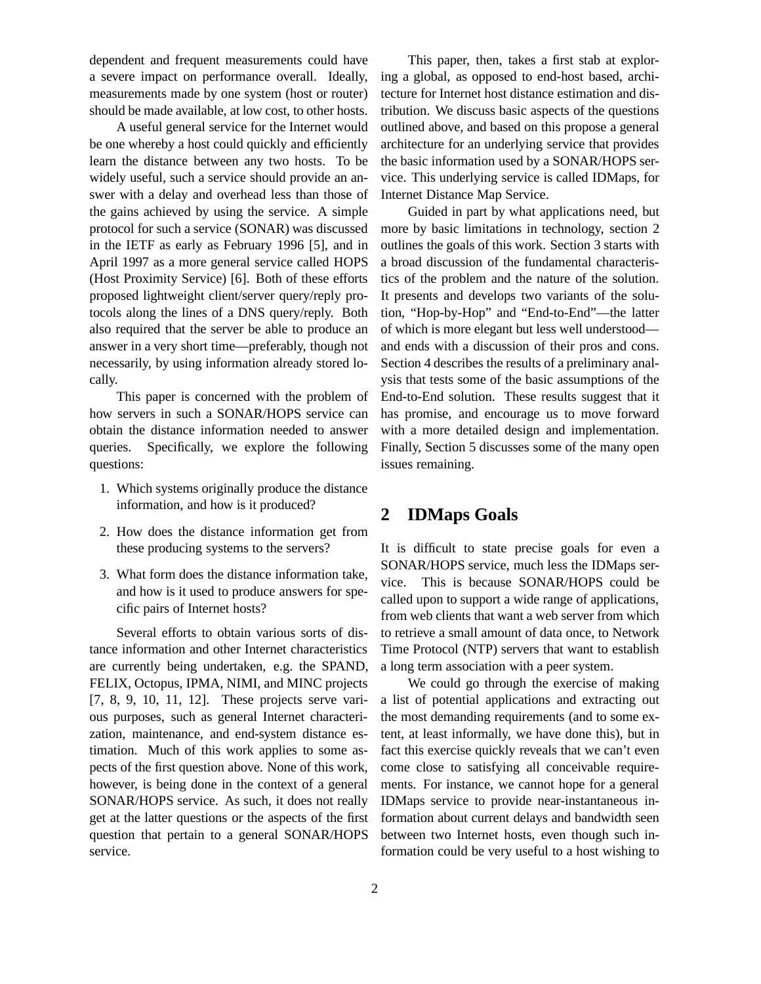dependent and frequent measurements could have a severe impact on performance overall. Ideally, measurements made by one system (host or router) should be made available, at low cost, to other hosts.

A useful general service for the Internet would be one whereby a host could quickly and efficiently learn the distance between any two hosts. To be widely useful, such a service should provide an answer with a delay and overhead less than those of the gains achieved by using the service. A simple protocol for such a service (SONAR) was discussed in the IETF as early as February 1996 [5], and in April 1997 as a more general service called HOPS (Host Proximity Service) [6]. Both of these efforts proposed lightweight client/server query/reply protocols along the lines of a DNS query/reply. Both also required that the server be able to produce an answer in a very short time—preferably, though not necessarily, by using information already stored locally.

This paper is concerned with the problem of how servers in such a SONAR/HOPS service can obtain the distance information needed to answer queries. Specifically, we explore the following questions:

- 1. Which systems originally produce the distance information, and how is it produced?
- 2. How does the distance information get from these producing systems to the servers?
- 3. What form does the distance information take, and how is it used to produce answers for specific pairs of Internet hosts?

Several efforts to obtain various sorts of distance information and other Internet characteristics are currently being undertaken, e.g. the SPAND, FELIX, Octopus, IPMA, NIMI, and MINC projects [7, 8, 9, 10, 11, 12]. These projects serve various purposes, such as general Internet characterization, maintenance, and end-system distance estimation. Much of this work applies to some aspects of the first question above. None of this work, however, is being done in the context of a general SONAR/HOPS service. As such, it does not really get at the latter questions or the aspects of the first question that pertain to a general SONAR/HOPS service.

This paper, then, takes a first stab at exploring a global, as opposed to end-host based, architecture for Internet host distance estimation and distribution. We discuss basic aspects of the questions outlined above, and based on this propose a general architecture for an underlying service that provides the basic information used by a SONAR/HOPS service. This underlying service is called IDMaps, for Internet Distance Map Service.

Guided in part by what applications need, but more by basic limitations in technology, section 2 outlines the goals of this work. Section 3 starts with a broad discussion of the fundamental characteristics of the problem and the nature of the solution. It presents and develops two variants of the solution, "Hop-by-Hop" and "End-to-End"—the latter of which is more elegant but less well understood and ends with a discussion of their pros and cons. Section 4 describes the results of a preliminary analysis that tests some of the basic assumptions of the End-to-End solution. These results suggest that it has promise, and encourage us to move forward with a more detailed design and implementation. Finally, Section 5 discusses some of the many open issues remaining.

## **2 IDMaps Goals**

It is difficult to state precise goals for even a SONAR/HOPS service, much less the IDMaps service. This is because SONAR/HOPS could be called upon to support a wide range of applications, from web clients that want a web server from which to retrieve a small amount of data once, to Network Time Protocol (NTP) servers that want to establish a long term association with a peer system.

We could go through the exercise of making a list of potential applications and extracting out the most demanding requirements (and to some extent, at least informally, we have done this), but in fact this exercise quickly reveals that we can't even come close to satisfying all conceivable requirements. For instance, we cannot hope for a general IDMaps service to provide near-instantaneous information about current delays and bandwidth seen between two Internet hosts, even though such information could be very useful to a host wishing to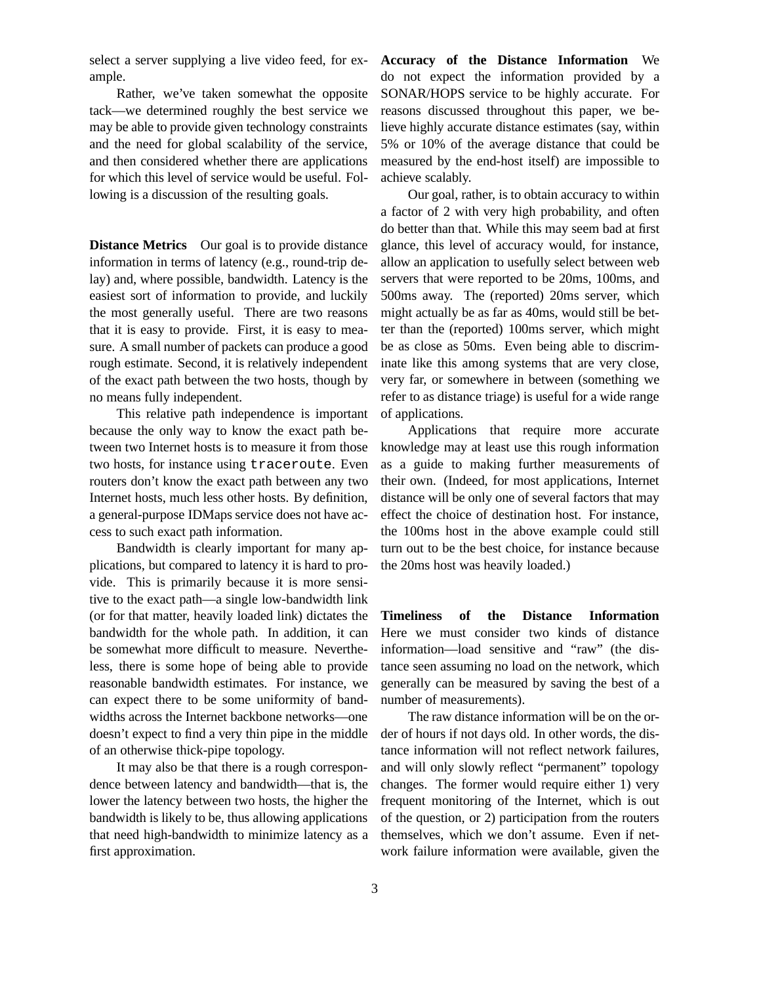select a server supplying a live video feed, for example.

Rather, we've taken somewhat the opposite tack—we determined roughly the best service we may be able to provide given technology constraints and the need for global scalability of the service, and then considered whether there are applications for which this level of service would be useful. Following is a discussion of the resulting goals.

**Distance Metrics** Our goal is to provide distance information in terms of latency (e.g., round-trip delay) and, where possible, bandwidth. Latency is the easiest sort of information to provide, and luckily the most generally useful. There are two reasons that it is easy to provide. First, it is easy to measure. A small number of packets can produce a good rough estimate. Second, it is relatively independent of the exact path between the two hosts, though by no means fully independent.

This relative path independence is important because the only way to know the exact path between two Internet hosts is to measure it from those two hosts, for instance using traceroute. Even routers don't know the exact path between any two Internet hosts, much less other hosts. By definition, a general-purpose IDMaps service does not have access to such exact path information.

Bandwidth is clearly important for many applications, but compared to latency it is hard to provide. This is primarily because it is more sensitive to the exact path—a single low-bandwidth link (or for that matter, heavily loaded link) dictates the bandwidth for the whole path. In addition, it can be somewhat more difficult to measure. Nevertheless, there is some hope of being able to provide reasonable bandwidth estimates. For instance, we can expect there to be some uniformity of bandwidths across the Internet backbone networks—one doesn't expect to find a very thin pipe in the middle of an otherwise thick-pipe topology.

It may also be that there is a rough correspondence between latency and bandwidth—that is, the lower the latency between two hosts, the higher the bandwidth is likely to be, thus allowing applications that need high-bandwidth to minimize latency as a first approximation.

**Accuracy of the Distance Information** We do not expect the information provided by a SONAR/HOPS service to be highly accurate. For reasons discussed throughout this paper, we believe highly accurate distance estimates (say, within 5% or 10% of the average distance that could be measured by the end-host itself) are impossible to achieve scalably.

Our goal, rather, is to obtain accuracy to within a factor of 2 with very high probability, and often do better than that. While this may seem bad at first glance, this level of accuracy would, for instance, allow an application to usefully select between web servers that were reported to be 20ms, 100ms, and 500ms away. The (reported) 20ms server, which might actually be as far as 40ms, would still be better than the (reported) 100ms server, which might be as close as 50ms. Even being able to discriminate like this among systems that are very close, very far, or somewhere in between (something we refer to as distance triage) is useful for a wide range of applications.

Applications that require more accurate knowledge may at least use this rough information as a guide to making further measurements of their own. (Indeed, for most applications, Internet distance will be only one of several factors that may effect the choice of destination host. For instance, the 100ms host in the above example could still turn out to be the best choice, for instance because the 20ms host was heavily loaded.)

**Timeliness of the Distance Information** Here we must consider two kinds of distance information—load sensitive and "raw" (the distance seen assuming no load on the network, which generally can be measured by saving the best of a number of measurements).

The raw distance information will be on the order of hours if not days old. In other words, the distance information will not reflect network failures, and will only slowly reflect "permanent" topology changes. The former would require either 1) very frequent monitoring of the Internet, which is out of the question, or 2) participation from the routers themselves, which we don't assume. Even if network failure information were available, given the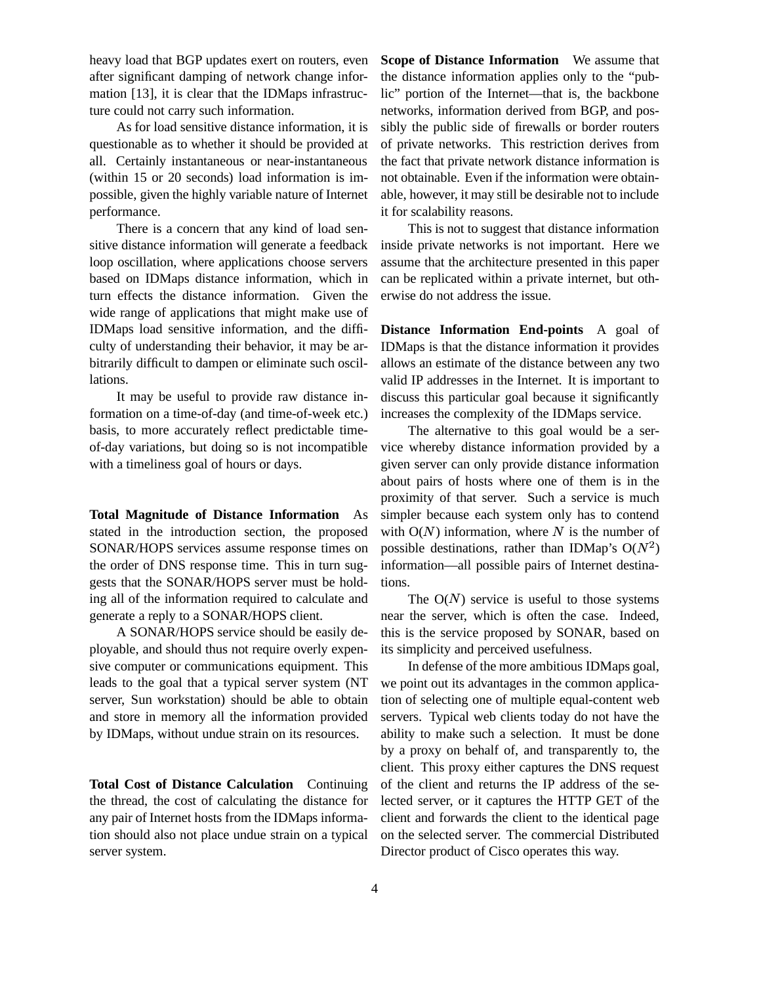heavy load that BGP updates exert on routers, even after significant damping of network change information [13], it is clear that the IDMaps infrastructure could not carry such information.

As for load sensitive distance information, it is questionable as to whether it should be provided at all. Certainly instantaneous or near-instantaneous (within 15 or 20 seconds) load information is impossible, given the highly variable nature of Internet performance.

There is a concern that any kind of load sensitive distance information will generate a feedback loop oscillation, where applications choose servers based on IDMaps distance information, which in turn effects the distance information. Given the wide range of applications that might make use of IDMaps load sensitive information, and the difficulty of understanding their behavior, it may be arbitrarily difficult to dampen or eliminate such oscillations.

It may be useful to provide raw distance information on a time-of-day (and time-of-week etc.) basis, to more accurately reflect predictable timeof-day variations, but doing so is not incompatible with a timeliness goal of hours or days.

**Total Magnitude of Distance Information** As stated in the introduction section, the proposed SONAR/HOPS services assume response times on the order of DNS response time. This in turn suggests that the SONAR/HOPS server must be holding all of the information required to calculate and generate a reply to a SONAR/HOPS client.

A SONAR/HOPS service should be easily deployable, and should thus not require overly expensive computer or communications equipment. This leads to the goal that a typical server system (NT server, Sun workstation) should be able to obtain and store in memory all the information provided by IDMaps, without undue strain on its resources.

**Total Cost of Distance Calculation** Continuing the thread, the cost of calculating the distance for any pair of Internet hosts from the IDMaps information should also not place undue strain on a typical server system.

**Scope of Distance Information** We assume that the distance information applies only to the "public" portion of the Internet—that is, the backbone networks, information derived from BGP, and possibly the public side of firewalls or border routers of private networks. This restriction derives from the fact that private network distance information is not obtainable. Even if the information were obtainable, however, it may still be desirable not to include it for scalability reasons.

This is not to suggest that distance information inside private networks is not important. Here we assume that the architecture presented in this paper can be replicated within a private internet, but otherwise do not address the issue.

**Distance Information End-points** A goal of IDMaps is that the distance information it provides allows an estimate of the distance between any two valid IP addresses in the Internet. It is important to discuss this particular goal because it significantly increases the complexity of the IDMaps service.

The alternative to this goal would be a service whereby distance information provided by a given server can only provide distance information about pairs of hosts where one of them is in the proximity of that server. Such a service is much simpler because each system only has to contend with  $O(N)$  information, where N is the number of possible destinations, rather than IDMap's  $O(N^2)$ information—all possible pairs of Internet destinations.

The  $O(N)$  service is useful to those systems near the server, which is often the case. Indeed, this is the service proposed by SONAR, based on its simplicity and perceived usefulness.

In defense of the more ambitious IDMaps goal, we point out its advantages in the common application of selecting one of multiple equal-content web servers. Typical web clients today do not have the ability to make such a selection. It must be done by a proxy on behalf of, and transparently to, the client. This proxy either captures the DNS request of the client and returns the IP address of the selected server, or it captures the HTTP GET of the client and forwards the client to the identical page on the selected server. The commercial Distributed Director product of Cisco operates this way.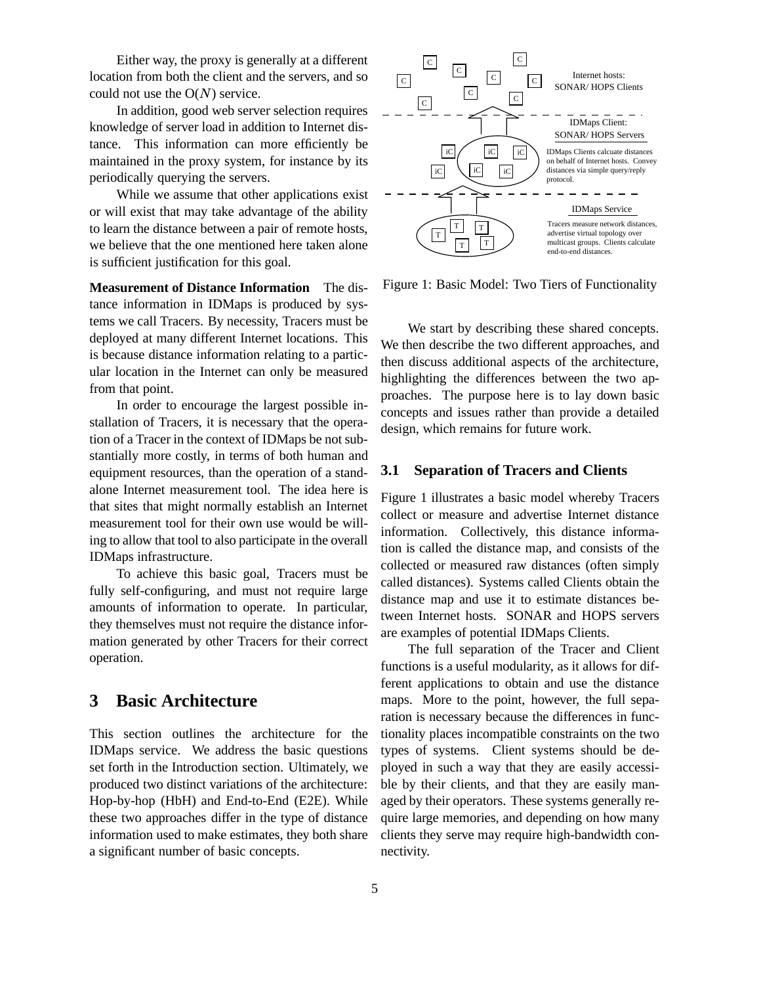Either way, the proxy is generally at a different location from both the client and the servers, and so could not use the  $O(N)$  service.

In addition, good web server selection requires knowledge of server load in addition to Internet distance. This information can more efficiently be maintained in the proxy system, for instance by its periodically querying the servers.

While we assume that other applications exist or will exist that may take advantage of the ability to learn the distance between a pair of remote hosts, we believe that the one mentioned here taken alone is sufficient justification for this goal.

**Measurement of Distance Information** The distance information in IDMaps is produced by systems we call Tracers. By necessity, Tracers must be deployed at many different Internet locations. This is because distance information relating to a particular location in the Internet can only be measured from that point.

In order to encourage the largest possible installation of Tracers, it is necessary that the operation of a Tracer in the context of IDMaps be not substantially more costly, in terms of both human and equipment resources, than the operation of a standalone Internet measurement tool. The idea here is that sites that might normally establish an Internet measurement tool for their own use would be willing to allow that tool to also participate in the overall IDMaps infrastructure.

To achieve this basic goal, Tracers must be fully self-configuring, and must not require large amounts of information to operate. In particular, they themselves must not require the distance information generated by other Tracers for their correct operation.

## **3 Basic Architecture**

This section outlines the architecture for the IDMaps service. We address the basic questions set forth in the Introduction section. Ultimately, we produced two distinct variations of the architecture: Hop-by-hop (HbH) and End-to-End (E2E). While these two approaches differ in the type of distance information used to make estimates, they both share a significant number of basic concepts.



Figure 1: Basic Model: Two Tiers of Functionality

We start by describing these shared concepts. We then describe the two different approaches, and then discuss additional aspects of the architecture, highlighting the differences between the two approaches. The purpose here is to lay down basic concepts and issues rather than provide a detailed design, which remains for future work.

## **3.1 Separation of Tracers and Clients**

Figure 1 illustrates a basic model whereby Tracers collect or measure and advertise Internet distance information. Collectively, this distance information is called the distance map, and consists of the collected or measured raw distances (often simply called distances). Systems called Clients obtain the distance map and use it to estimate distances between Internet hosts. SONAR and HOPS servers are examples of potential IDMaps Clients.

The full separation of the Tracer and Client functions is a useful modularity, as it allows for different applications to obtain and use the distance maps. More to the point, however, the full separation is necessary because the differences in functionality places incompatible constraints on the two types of systems. Client systems should be deployed in such a way that they are easily accessible by their clients, and that they are easily managed by their operators. These systems generally require large memories, and depending on how many clients they serve may require high-bandwidth connectivity.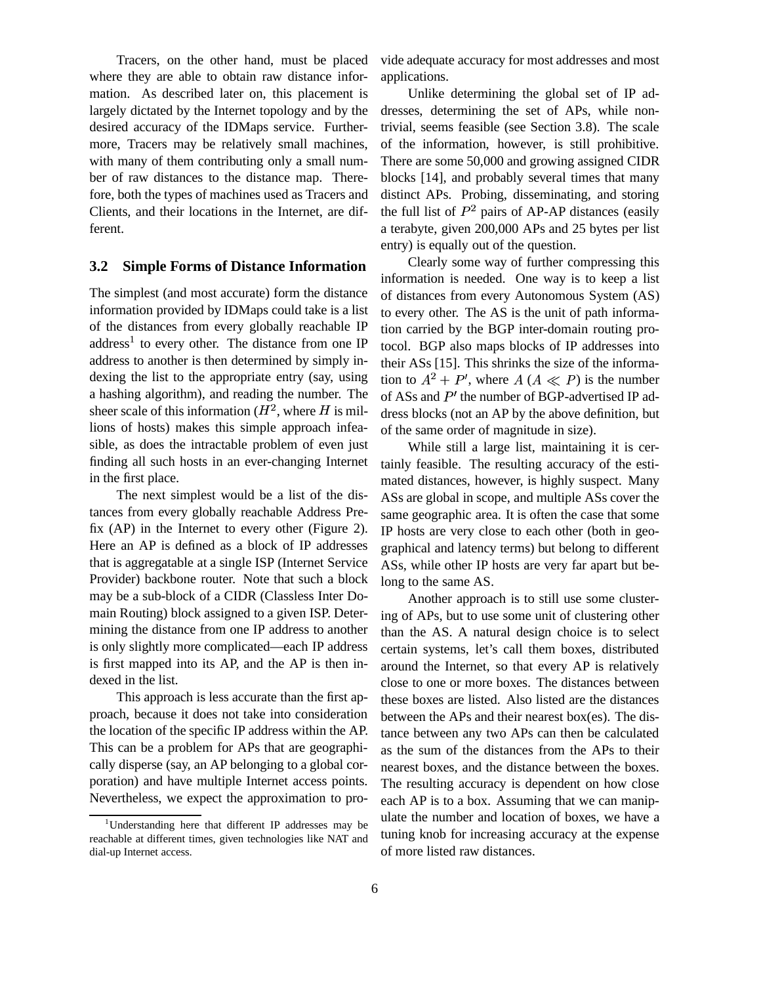Tracers, on the other hand, must be placed where they are able to obtain raw distance information. As described later on, this placement is largely dictated by the Internet topology and by the desired accuracy of the IDMaps service. Furthermore, Tracers may be relatively small machines, with many of them contributing only a small number of raw distances to the distance map. Therefore, both the types of machines used as Tracers and Clients, and their locations in the Internet, are different.

### **3.2 Simple Forms of Distance Information**

The simplest (and most accurate) form the distance information provided by IDMaps could take is a list of the distances from every globally reachable IP address<sup>1</sup> to every other. The distance from one IP address to another is then determined by simply indexing the list to the appropriate entry (say, using a hashing algorithm), and reading the number. The sheer scale of this information ( $H^2$ , where H is mil- dress bloc lions of hosts) makes this simple approach infeasible, as does the intractable problem of even just finding all such hosts in an ever-changing Internet in the first place.

The next simplest would be a list of the distances from every globally reachable Address Prefix (AP) in the Internet to every other (Figure 2). Here an AP is defined as a block of IP addresses that is aggregatable at a single ISP (Internet Service Provider) backbone router. Note that such a block may be a sub-block of a CIDR (Classless Inter Domain Routing) block assigned to a given ISP. Determining the distance from one IP address to another is only slightly more complicated—each IP address is first mapped into its AP, and the AP is then indexed in the list.

This approach is less accurate than the first approach, because it does not take into consideration the location of the specific IP address within the AP. This can be a problem for APs that are geographically disperse (say, an AP belonging to a global corporation) and have multiple Internet access points. Nevertheless, we expect the approximation to provide adequate accuracy for most addresses and most applications.

Unlike determining the global set of IP addresses, determining the set of APs, while nontrivial, seems feasible (see Section 3.8). The scale of the information, however, is still prohibitive. There are some 50,000 and growing assigned CIDR blocks [14], and probably several times that many distinct APs. Probing, disseminating, and storing the full list of  $P^2$  pairs of AP-AP distances (easily a terabyte, given 200,000 APs and 25 bytes per list entry) is equally out of the question.

Clearly some way of further compressing this information is needed. One way is to keep a list of distances from every Autonomous System (AS) to every other. The AS is the unit of path information carried by the BGP inter-domain routing protocol. BGP also maps blocks of IP addresses into their ASs [15]. This shrinks the size of the information to  $A^2 + P'$ , where  $A(A \ll P)$  is the number of ASs and  $P'$  the number of BGP-advertised IP address blocks (not an AP by the above definition, but of the same order of magnitude in size).

While still a large list, maintaining it is certainly feasible. The resulting accuracy of the estimated distances, however, is highly suspect. Many ASs are global in scope, and multiple ASs cover the same geographic area. It is often the case that some IP hosts are very close to each other (both in geographical and latency terms) but belong to different ASs, while other IP hosts are very far apart but belong to the same AS.

Another approach is to still use some clustering of APs, but to use some unit of clustering other than the AS. A natural design choice is to select certain systems, let's call them boxes, distributed around the Internet, so that every AP is relatively close to one or more boxes. The distances between these boxes are listed. Also listed are the distances between the APs and their nearest box(es). The distance between any two APs can then be calculated as the sum of the distances from the APs to their nearest boxes, and the distance between the boxes. The resulting accuracy is dependent on how close each AP is to a box. Assuming that we can manipulate the number and location of boxes, we have a tuning knob for increasing accuracy at the expense of more listed raw distances.

<sup>&</sup>lt;sup>1</sup>Understanding here that different IP addresses may be reachable at different times, given technologies like NAT and dial-up Internet access.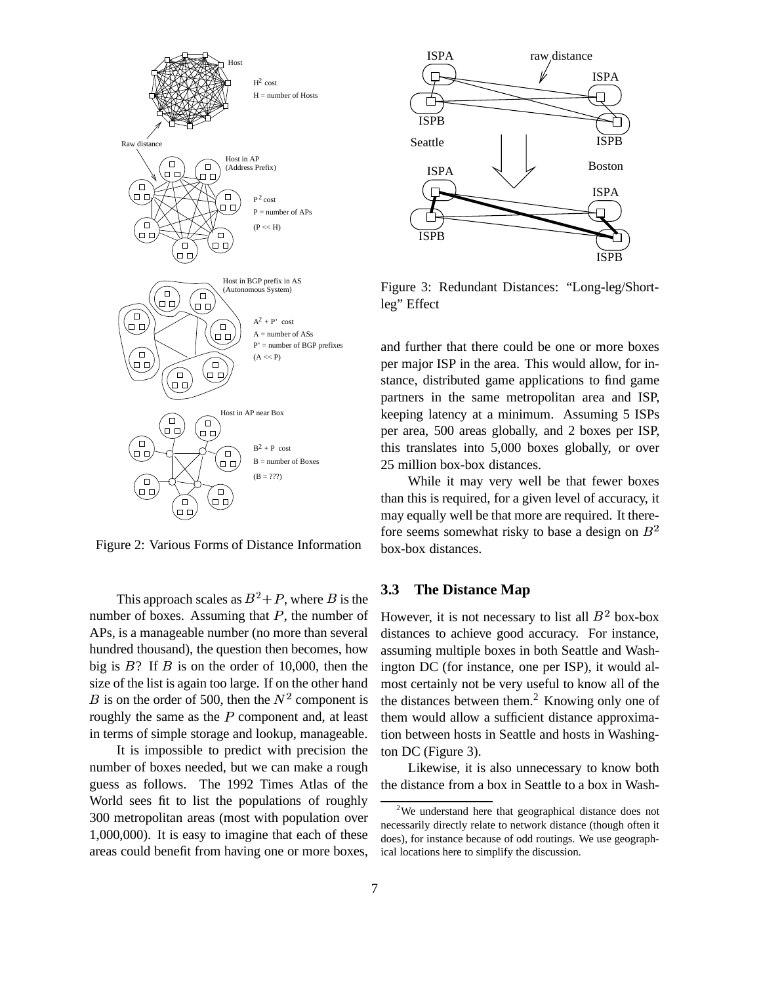

Figure 2: Various Forms of Distance Information

This approach scales as  $B^2 + P$ , where B is the number of boxes. Assuming that  $P$ , the number of APs, is a manageable number (no more than several hundred thousand), the question then becomes, how big is  $B$ ? If  $B$  is on the order of 10,000, then the size of the list is again too large. If on the other hand B is on the order of 500, then the  $N^2$  component is roughly the same as the  $P$  component and, at least in terms of simple storage and lookup, manageable.

It is impossible to predict with precision the number of boxes needed, but we can make a rough guess as follows. The 1992 Times Atlas of the World sees fit to list the populations of roughly 300 metropolitan areas (most with population over 1,000,000). It is easy to imagine that each of these areas could benefit from having one or more boxes,



Figure 3: Redundant Distances: "Long-leg/Shortleg" Effect

and further that there could be one or more boxes per major ISP in the area. This would allow, for instance, distributed game applications to find game partners in the same metropolitan area and ISP, keeping latency at a minimum. Assuming 5 ISPs per area, 500 areas globally, and 2 boxes per ISP, this translates into 5,000 boxes globally, or over 25 million box-box distances.

While it may very well be that fewer boxes than this is required, for a given level of accuracy, it may equally well be that more are required. It therefore seems somewhat risky to base a design on  $B<sup>2</sup>$ box-box distances.

## **3.3 The Distance Map**

However, it is not necessary to list all  $B^2$  box-box distances to achieve good accuracy. For instance, assuming multiple boxes in both Seattle and Washington DC (for instance, one per ISP), it would almost certainly not be very useful to know all of the the distances between them.<sup>2</sup> Knowing only one of them would allow a sufficient distance approximation between hosts in Seattle and hosts in Washington DC (Figure 3).

Likewise, it is also unnecessary to know both the distance from a box in Seattle to a box in Wash-

<sup>&</sup>lt;sup>2</sup>We understand here that geographical distance does not necessarily directly relate to network distance (though often it does), for instance because of odd routings. We use geographical locations here to simplify the discussion.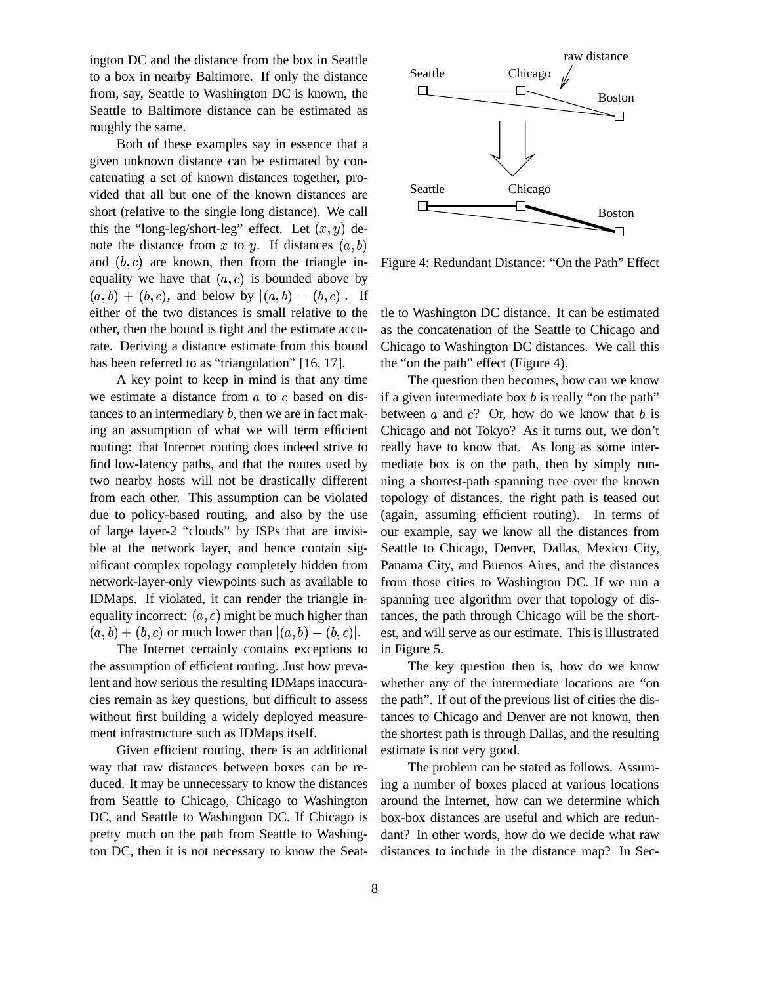ington DC and the distance from the box in Seattle to a box in nearby Baltimore. If only the distance from, say, Seattle to Washington DC is known, the Seattle to Baltimore distance can be estimated as roughly the same.

Both of these examples say in essence that a given unknown distance can be estimated by concatenating a set of known distances together, provided that all but one of the known distances are short (relative to the single long distance). We call this the "long-leg/short-leg" effect. Let  $(x, y)$  denote the distance from x to y. If distances  $(a, b)$ and  $(b, c)$  are known, then from the triangle inequality we have that  $(a, c)$  is bounded above by  $(a, b) + (b, c)$ , and below by  $|(a, b) - (b, c)|$ . If either of the two distances is small relative to the other, then the bound is tight and the estimate accurate. Deriving a distance estimate from this bound has been referred to as "triangulation" [16, 17].

A key point to keep in mind is that any time we estimate a distance from  $a$  to  $c$  based on distances to an intermediary  $b$ , then we are in fact making an assumption of what we will term efficient routing: that Internet routing does indeed strive to find low-latency paths, and that the routes used by two nearby hosts will not be drastically different from each other. This assumption can be violated due to policy-based routing, and also by the use of large layer-2 "clouds" by ISPs that are invisible at the network layer, and hence contain significant complex topology completely hidden from network-layer-only viewpoints such as available to IDMaps. If violated, it can render the triangle inequality incorrect:  $(a, c)$  might be much higher than  $(a, b) + (b, c)$  or much lower than  $|(a, b) - (b, c)|$ .

The Internet certainly contains exceptions to the assumption of efficient routing. Just how prevalent and how serious the resulting IDMaps inaccuracies remain as key questions, but difficult to assess without first building a widely deployed measurement infrastructure such as IDMaps itself.

Given efficient routing, there is an additional way that raw distances between boxes can be reduced. It may be unnecessary to know the distances from Seattle to Chicago, Chicago to Washington DC, and Seattle to Washington DC. If Chicago is pretty much on the path from Seattle to Washington DC, then it is not necessary to know the Seat-



Figure 4: Redundant Distance: "On the Path" Effect

tle to Washington DC distance. It can be estimated as the concatenation of the Seattle to Chicago and Chicago to Washington DC distances. We call this the "on the path" effect (Figure 4).

The question then becomes, how can we know if a given intermediate box  $b$  is really "on the path" between  $\alpha$  and  $c$ ? Or, how do we know that  $\delta$  is Chicago and not Tokyo? As it turns out, we don't really have to know that. As long as some intermediate box is on the path, then by simply running a shortest-path spanning tree over the known topology of distances, the right path is teased out (again, assuming efficient routing). In terms of our example, say we know all the distances from Seattle to Chicago, Denver, Dallas, Mexico City, Panama City, and Buenos Aires, and the distances from those cities to Washington DC. If we run a spanning tree algorithm over that topology of distances, the path through Chicago will be the shortest, and will serve as our estimate. This is illustrated in Figure 5.

The key question then is, how do we know whether any of the intermediate locations are "on the path". If out of the previous list of cities the distances to Chicago and Denver are not known, then the shortest path is through Dallas, and the resulting estimate is not very good.

The problem can be stated as follows. Assuming a number of boxes placed at various locations around the Internet, how can we determine which box-box distances are useful and which are redundant? In other words, how do we decide what raw distances to include in the distance map? In Sec-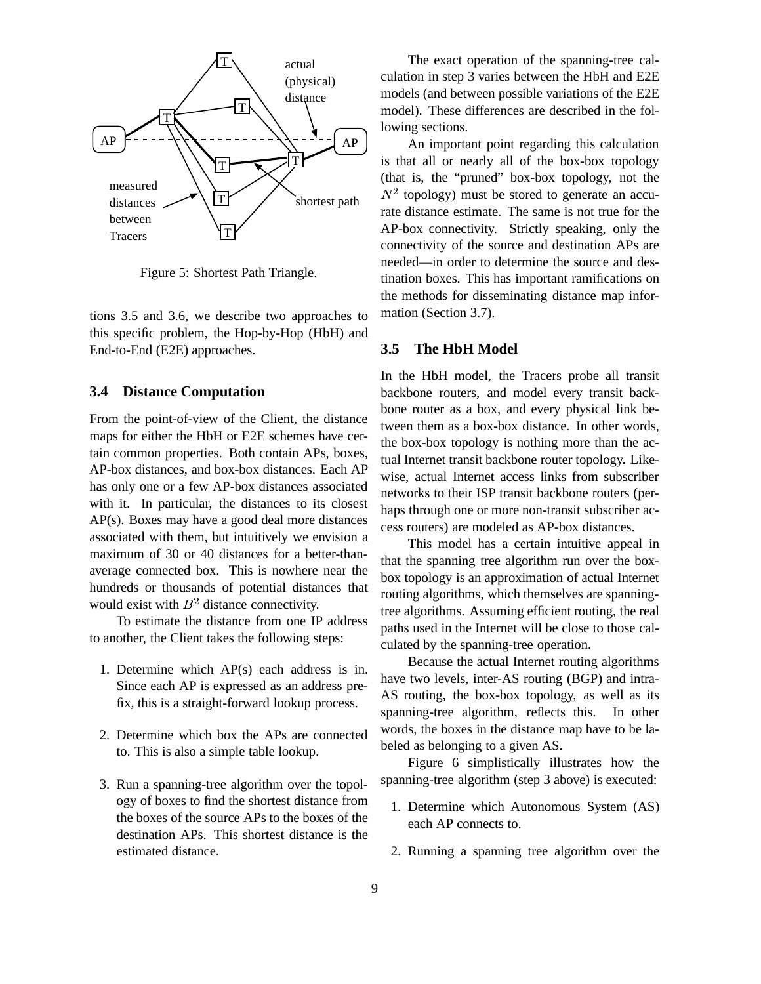

Figure 5: Shortest Path Triangle.

tions 3.5 and 3.6, we describe two approaches to this specific problem, the Hop-by-Hop (HbH) and End-to-End (E2E) approaches.

## **3.4 Distance Computation**

From the point-of-view of the Client, the distance maps for either the HbH or E2E schemes have certain common properties. Both contain APs, boxes, AP-box distances, and box-box distances. Each AP has only one or a few AP-box distances associated with it. In particular, the distances to its closest AP(s). Boxes may have a good deal more distances associated with them, but intuitively we envision a maximum of 30 or 40 distances for a better-thanaverage connected box. This is nowhere near the hundreds or thousands of potential distances that would exist with  $B<sup>2</sup>$  distance connectivity.

To estimate the distance from one IP address to another, the Client takes the following steps:

- 1. Determine which AP(s) each address is in. Since each AP is expressed as an address prefix, this is a straight-forward lookup process.
- 2. Determine which box the APs are connected to. This is also a simple table lookup.
- 3. Run a spanning-tree algorithm over the topology of boxes to find the shortest distance from the boxes of the source APs to the boxes of the destination APs. This shortest distance is the estimated distance.

The exact operation of the spanning-tree calculation in step 3 varies between the HbH and E2E models (and between possible variations of the E2E model). These differences are described in the following sections.

An important point regarding this calculation is that all or nearly all of the box-box topology (that is, the "pruned" box-box topology, not the  $N<sup>2</sup>$  topology) must be stored to generate an accurate distance estimate. The same is not true for the AP-box connectivity. Strictly speaking, only the connectivity of the source and destination APs are needed—in order to determine the source and destination boxes. This has important ramifications on the methods for disseminating distance map information (Section 3.7).

### **3.5 The HbH Model**

In the HbH model, the Tracers probe all transit backbone routers, and model every transit backbone router as a box, and every physical link between them as a box-box distance. In other words, the box-box topology is nothing more than the actual Internet transit backbone router topology. Likewise, actual Internet access links from subscriber networks to their ISP transit backbone routers (perhaps through one or more non-transit subscriber access routers) are modeled as AP-box distances.

This model has a certain intuitive appeal in that the spanning tree algorithm run over the boxbox topology is an approximation of actual Internet routing algorithms, which themselves are spanningtree algorithms. Assuming efficient routing, the real paths used in the Internet will be close to those calculated by the spanning-tree operation.

Because the actual Internet routing algorithms have two levels, inter-AS routing (BGP) and intra-AS routing, the box-box topology, as well as its spanning-tree algorithm, reflects this. In other words, the boxes in the distance map have to be labeled as belonging to a given AS.

Figure 6 simplistically illustrates how the spanning-tree algorithm (step 3 above) is executed:

- 1. Determine which Autonomous System (AS) each AP connects to.
- 2. Running a spanning tree algorithm over the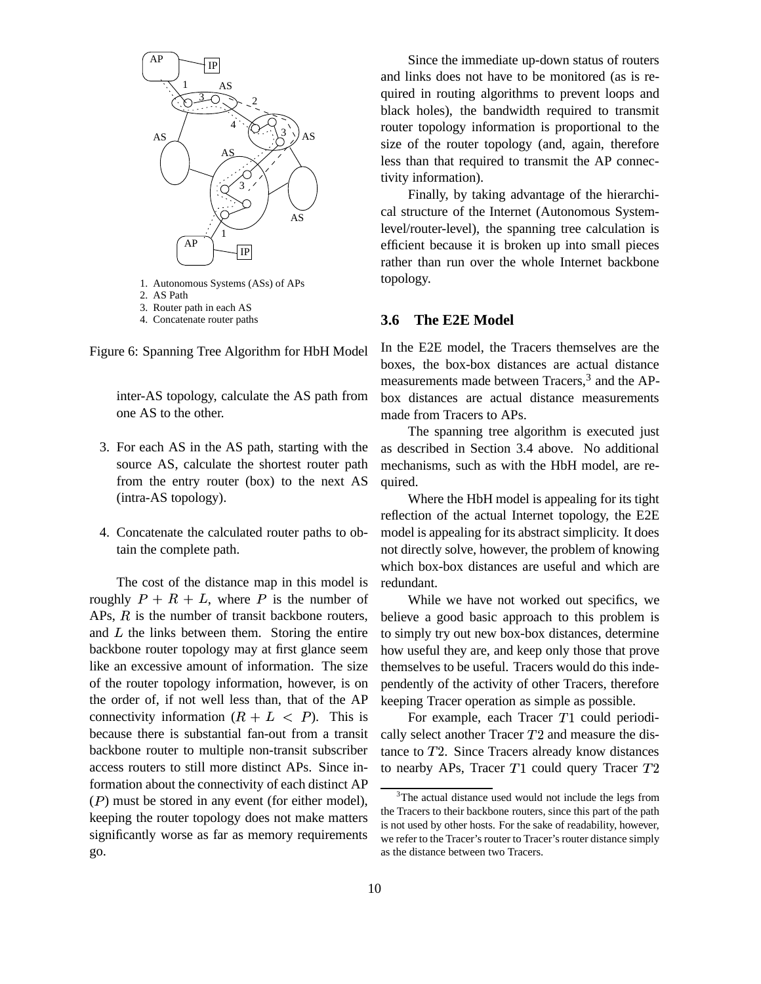

- 1. Autonomous Systems (ASs) of APs
- 2. AS Path
- 3. Router path in each AS
- 4. Concatenate router paths

Figure 6: Spanning Tree Algorithm for HbH Model

inter-AS topology, calculate the AS path from one AS to the other.

- 3. For each AS in the AS path, starting with the source AS, calculate the shortest router path from the entry router (box) to the next AS (intra-AS topology).
- 4. Concatenate the calculated router paths to obtain the complete path.

The cost of the distance map in this model is roughly  $P + R + L$ , where P is the number of APs,  $R$  is the number of transit backbone routers, and  $L$  the links between them. Storing the entire backbone router topology may at first glance seem like an excessive amount of information. The size of the router topology information, however, is on the order of, if not well less than, that of the AP connectivity information  $(R + L < P)$ . This is because there is substantial fan-out from a transit backbone router to multiple non-transit subscriber access routers to still more distinct APs. Since information about the connectivity of each distinct AP  $(P)$  must be stored in any event (for either model), keeping the router topology does not make matters significantly worse as far as memory requirements go.

Since the immediate up-down status of routers and links does not have to be monitored (as is required in routing algorithms to prevent loops and black holes), the bandwidth required to transmit router topology information is proportional to the size of the router topology (and, again, therefore less than that required to transmit the AP connectivity information).

Finally, by taking advantage of the hierarchical structure of the Internet (Autonomous Systemlevel/router-level), the spanning tree calculation is efficient because it is broken up into small pieces rather than run over the whole Internet backbone topology.

### **3.6 The E2E Model**

In the E2E model, the Tracers themselves are the boxes, the box-box distances are actual distance measurements made between Tracers,<sup>3</sup> and the APbox distances are actual distance measurements made from Tracers to APs.

The spanning tree algorithm is executed just as described in Section 3.4 above. No additional mechanisms, such as with the HbH model, are required.

Where the HbH model is appealing for its tight reflection of the actual Internet topology, the E2E model is appealing for its abstract simplicity. It does not directly solve, however, the problem of knowing which box-box distances are useful and which are redundant.

While we have not worked out specifics, we believe a good basic approach to this problem is to simply try out new box-box distances, determine how useful they are, and keep only those that prove themselves to be useful. Tracers would do this independently of the activity of other Tracers, therefore keeping Tracer operation as simple as possible.

For example, each Tracer  $T1$  could periodically select another Tracer  $T2$  and measure the distance to  $T2$ . Since Tracers already know distances to nearby APs, Tracer  $T1$  could query Tracer  $T2$ 

<sup>&</sup>lt;sup>3</sup>The actual distance used would not include the legs from the Tracers to their backbone routers, since this part of the path is not used by other hosts. For the sake of readability, however, we refer to the Tracer's router to Tracer's router distance simply as the distance between two Tracers.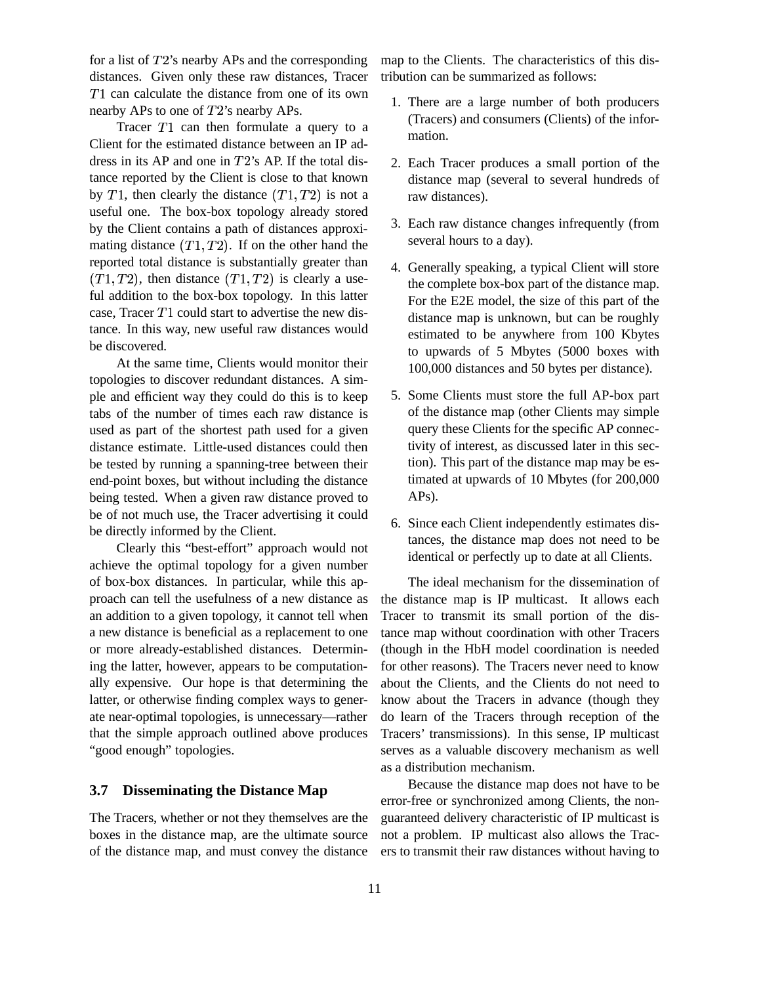for a list of  $T2$ 's nearby APs and the corresponding distances. Given only these raw distances, Tracer  $T1$  can calculate the distance from one of its own nearby APs to one of  $T2$ 's nearby APs.

Tracer  $T1$  can then formulate a query to a Client for the estimated distance between an IP address in its AP and one in  $T2$ 's AP. If the total distance reported by the Client is close to that known by  $T1$ , then clearly the distance  $(T1, T2)$  is . . . . . . . . is not a useful one. The box-box topology already stored by the Client contains a path of distances approximating distance  $(T1, T2)$ .  $T2$ ). If on the other hand the reported total distance is substantially greater than  $(T1,T2)$ . t  $(T2)$ , then distance  $(T1, T2)$  is \_ \_ , \_ \_ \_ \_ \_ \_ \_ \_ ) is clearly a useful addition to the box-box topology. In this latter case, Tracer  $T1$  could start to advertise the new distance. In this way, new useful raw distances would be discovered.

At the same time, Clients would monitor their topologies to discover redundant distances. A simple and efficient way they could do this is to keep tabs of the number of times each raw distance is used as part of the shortest path used for a given distance estimate. Little-used distances could then be tested by running a spanning-tree between their end-point boxes, but without including the distance being tested. When a given raw distance proved to be of not much use, the Tracer advertising it could be directly informed by the Client.

Clearly this "best-effort" approach would not achieve the optimal topology for a given number of box-box distances. In particular, while this approach can tell the usefulness of a new distance as an addition to a given topology, it cannot tell when a new distance is beneficial as a replacement to one or more already-established distances. Determining the latter, however, appears to be computationally expensive. Our hope is that determining the latter, or otherwise finding complex ways to generate near-optimal topologies, is unnecessary—rather that the simple approach outlined above produces "good enough" topologies.

#### **3.7 Disseminating the Distance Map**

The Tracers, whether or not they themselves are the boxes in the distance map, are the ultimate source of the distance map, and must convey the distance map to the Clients. The characteristics of this distribution can be summarized as follows:

- 1. There are a large number of both producers (Tracers) and consumers (Clients) of the information.
- 2. Each Tracer produces a small portion of the distance map (several to several hundreds of raw distances).
- 3. Each raw distance changes infrequently (from several hours to a day).
- 4. Generally speaking, a typical Client will store the complete box-box part of the distance map. For the E2E model, the size of this part of the distance map is unknown, but can be roughly estimated to be anywhere from 100 Kbytes to upwards of 5 Mbytes (5000 boxes with 100,000 distances and 50 bytes per distance).
- 5. Some Clients must store the full AP-box part of the distance map (other Clients may simple query these Clients for the specific AP connectivity of interest, as discussed later in this section). This part of the distance map may be estimated at upwards of 10 Mbytes (for 200,000 APs).
- 6. Since each Client independently estimates distances, the distance map does not need to be identical or perfectly up to date at all Clients.

The ideal mechanism for the dissemination of the distance map is IP multicast. It allows each Tracer to transmit its small portion of the distance map without coordination with other Tracers (though in the HbH model coordination is needed for other reasons). The Tracers never need to know about the Clients, and the Clients do not need to know about the Tracers in advance (though they do learn of the Tracers through reception of the Tracers' transmissions). In this sense, IP multicast serves as a valuable discovery mechanism as well as a distribution mechanism.

Because the distance map does not have to be error-free or synchronized among Clients, the nonguaranteed delivery characteristic of IP multicast is not a problem. IP multicast also allows the Tracers to transmit their raw distances without having to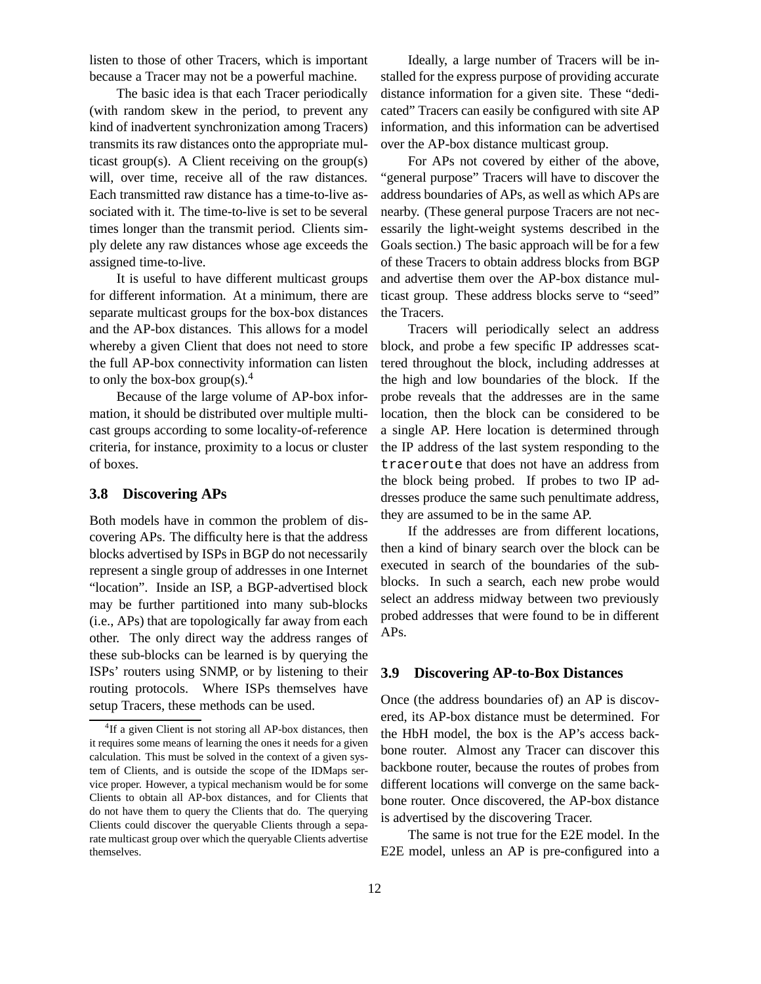listen to those of other Tracers, which is important because a Tracer may not be a powerful machine.

The basic idea is that each Tracer periodically (with random skew in the period, to prevent any kind of inadvertent synchronization among Tracers) transmits its raw distances onto the appropriate multicast group(s). A Client receiving on the group(s) will, over time, receive all of the raw distances. Each transmitted raw distance has a time-to-live associated with it. The time-to-live is set to be several times longer than the transmit period. Clients simply delete any raw distances whose age exceeds the assigned time-to-live.

It is useful to have different multicast groups for different information. At a minimum, there are separate multicast groups for the box-box distances and the AP-box distances. This allows for a model whereby a given Client that does not need to store the full AP-box connectivity information can listen to only the box-box group(s).<sup>4</sup>

Because of the large volume of AP-box information, it should be distributed over multiple multicast groups according to some locality-of-reference criteria, for instance, proximity to a locus or cluster of boxes.

### **3.8 Discovering APs**

Both models have in common the problem of discovering APs. The difficulty here is that the address blocks advertised by ISPs in BGP do not necessarily represent a single group of addresses in one Internet "location". Inside an ISP, a BGP-advertised block may be further partitioned into many sub-blocks (i.e., APs) that are topologically far away from each other. The only direct way the address ranges of these sub-blocks can be learned is by querying the ISPs' routers using SNMP, or by listening to their routing protocols. Where ISPs themselves have setup Tracers, these methods can be used.

Ideally, a large number of Tracers will be installed for the express purpose of providing accurate distance information for a given site. These "dedicated" Tracers can easily be configured with site AP information, and this information can be advertised over the AP-box distance multicast group.

For APs not covered by either of the above, "general purpose" Tracers will have to discover the address boundaries of APs, as well as which APs are nearby. (These general purpose Tracers are not necessarily the light-weight systems described in the Goals section.) The basic approach will be for a few of these Tracers to obtain address blocks from BGP and advertise them over the AP-box distance multicast group. These address blocks serve to "seed" the Tracers.

Tracers will periodically select an address block, and probe a few specific IP addresses scattered throughout the block, including addresses at the high and low boundaries of the block. If the probe reveals that the addresses are in the same location, then the block can be considered to be a single AP. Here location is determined through the IP address of the last system responding to the traceroute that does not have an address from the block being probed. If probes to two IP addresses produce the same such penultimate address, they are assumed to be in the same AP.

If the addresses are from different locations, then a kind of binary search over the block can be executed in search of the boundaries of the subblocks. In such a search, each new probe would select an address midway between two previously probed addresses that were found to be in different APs.

#### **3.9 Discovering AP-to-Box Distances**

Once (the address boundaries of) an AP is discovered, its AP-box distance must be determined. For the HbH model, the box is the AP's access backbone router. Almost any Tracer can discover this backbone router, because the routes of probes from different locations will converge on the same backbone router. Once discovered, the AP-box distance is advertised by the discovering Tracer.

The same is not true for the E2E model. In the E2E model, unless an AP is pre-configured into a

<sup>&</sup>lt;sup>4</sup>If a given Client is not storing all AP-box distances, then it requires some means of learning the ones it needs for a given calculation. This must be solved in the context of a given system of Clients, and is outside the scope of the IDMaps service proper. However, a typical mechanism would be for some Clients to obtain all AP-box distances, and for Clients that do not have them to query the Clients that do. The querying Clients could discover the queryable Clients through a separate multicast group over which the queryable Clients advertise themselves.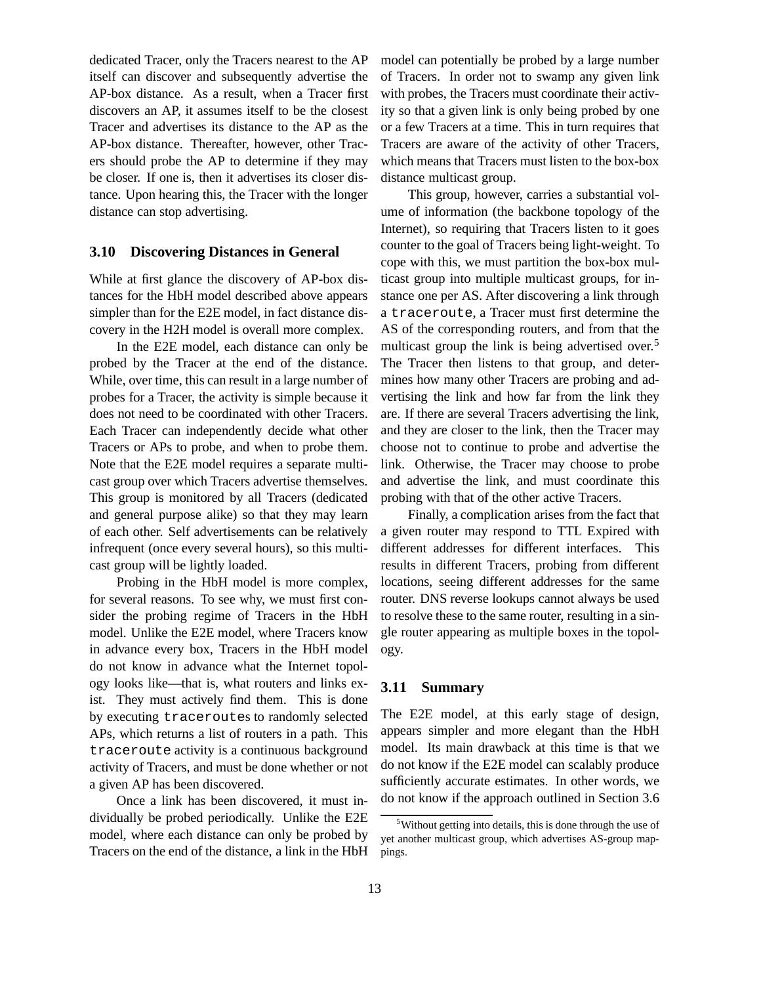dedicated Tracer, only the Tracers nearest to the AP itself can discover and subsequently advertise the AP-box distance. As a result, when a Tracer first discovers an AP, it assumes itself to be the closest Tracer and advertises its distance to the AP as the AP-box distance. Thereafter, however, other Tracers should probe the AP to determine if they may be closer. If one is, then it advertises its closer distance. Upon hearing this, the Tracer with the longer distance can stop advertising.

## **3.10 Discovering Distances in General**

While at first glance the discovery of AP-box distances for the HbH model described above appears simpler than for the E2E model, in fact distance discovery in the H2H model is overall more complex.

In the E2E model, each distance can only be probed by the Tracer at the end of the distance. While, over time, this can result in a large number of probes for a Tracer, the activity is simple because it does not need to be coordinated with other Tracers. Each Tracer can independently decide what other Tracers or APs to probe, and when to probe them. Note that the E2E model requires a separate multicast group over which Tracers advertise themselves. This group is monitored by all Tracers (dedicated and general purpose alike) so that they may learn of each other. Self advertisements can be relatively infrequent (once every several hours), so this multicast group will be lightly loaded.

Probing in the HbH model is more complex, for several reasons. To see why, we must first consider the probing regime of Tracers in the HbH model. Unlike the E2E model, where Tracers know in advance every box, Tracers in the HbH model do not know in advance what the Internet topology looks like—that is, what routers and links exist. They must actively find them. This is done by executing traceroutes to randomly selected APs, which returns a list of routers in a path. This traceroute activity is a continuous background activity of Tracers, and must be done whether or not a given AP has been discovered.

Once a link has been discovered, it must individually be probed periodically. Unlike the E2E model, where each distance can only be probed by Tracers on the end of the distance, a link in the HbH model can potentially be probed by a large number of Tracers. In order not to swamp any given link with probes, the Tracers must coordinate their activity so that a given link is only being probed by one or a few Tracers at a time. This in turn requires that Tracers are aware of the activity of other Tracers, which means that Tracers must listen to the box-box distance multicast group.

This group, however, carries a substantial volume of information (the backbone topology of the Internet), so requiring that Tracers listen to it goes counter to the goal of Tracers being light-weight. To cope with this, we must partition the box-box multicast group into multiple multicast groups, for instance one per AS. After discovering a link through a traceroute, a Tracer must first determine the AS of the corresponding routers, and from that the multicast group the link is being advertised over.<sup>5</sup> The Tracer then listens to that group, and determines how many other Tracers are probing and advertising the link and how far from the link they are. If there are several Tracers advertising the link, and they are closer to the link, then the Tracer may choose not to continue to probe and advertise the link. Otherwise, the Tracer may choose to probe and advertise the link, and must coordinate this probing with that of the other active Tracers.

Finally, a complication arises from the fact that a given router may respond to TTL Expired with different addresses for different interfaces. This results in different Tracers, probing from different locations, seeing different addresses for the same router. DNS reverse lookups cannot always be used to resolve these to the same router, resulting in a single router appearing as multiple boxes in the topology.

## **3.11 Summary**

The E2E model, at this early stage of design, appears simpler and more elegant than the HbH model. Its main drawback at this time is that we do not know if the E2E model can scalably produce sufficiently accurate estimates. In other words, we do not know if the approach outlined in Section 3.6

<sup>5</sup>Without getting into details, this is done through the use of yet another multicast group, which advertises AS-group mappings.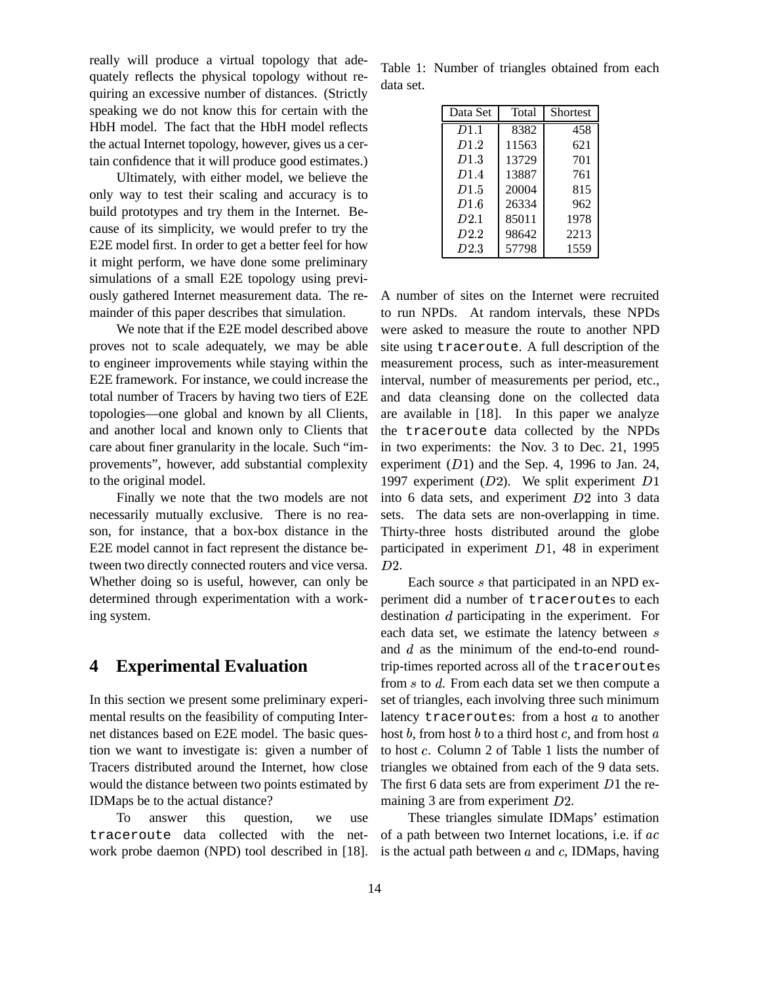really will produce a virtual topology that adequately reflects the physical topology without requiring an excessive number of distances. (Strictly speaking we do not know this for certain with the HbH model. The fact that the HbH model reflects the actual Internet topology, however, gives us a certain confidence that it will produce good estimates.)

Ultimately, with either model, we believe the only way to test their scaling and accuracy is to build prototypes and try them in the Internet. Because of its simplicity, we would prefer to try the E2E model first. In order to get a better feel for how it might perform, we have done some preliminary simulations of a small E2E topology using previously gathered Internet measurement data. The remainder of this paper describes that simulation.

We note that if the E2E model described above proves not to scale adequately, we may be able to engineer improvements while staying within the E2E framework. For instance, we could increase the total number of Tracers by having two tiers of E2E topologies—one global and known by all Clients, and another local and known only to Clients that care about finer granularity in the locale. Such "improvements", however, add substantial complexity to the original model.

Finally we note that the two models are not necessarily mutually exclusive. There is no reason, for instance, that a box-box distance in the E2E model cannot in fact represent the distance between two directly connected routers and vice versa. Whether doing so is useful, however, can only be determined through experimentation with a working system.

## **4 Experimental Evaluation**

In this section we present some preliminary experimental results on the feasibility of computing Internet distances based on E2E model. The basic question we want to investigate is: given a number of Tracers distributed around the Internet, how close would the distance between two points estimated by IDMaps be to the actual distance?

To answer this question, we use traceroute data collected with the network probe daemon (NPD) tool described in [18].

Table 1: Number of triangles obtained from each data set.

| Data Set         | Total | Shortest |
|------------------|-------|----------|
| D <sub>1.1</sub> | 8382  | 458      |
| D <sub>1.2</sub> | 11563 | 621      |
| D <sub>1.3</sub> | 13729 | 701      |
| D <sub>1.4</sub> | 13887 | 761      |
| D <sub>1.5</sub> | 20004 | 815      |
| D1.6             | 26334 | 962      |
| D2.1             | 85011 | 1978     |
| D2.2             | 98642 | 2213     |
| D2.3             | 57798 | 1559     |

A number of sites on the Internet were recruited to run NPDs. At random intervals, these NPDs were asked to measure the route to another NPD site using traceroute. A full description of the measurement process, such as inter-measurement interval, number of measurements per period, etc., and data cleansing done on the collected data are available in [18]. In this paper we analyze the traceroute data collected by the NPDs in two experiments: the Nov. 3 to Dec. 21, 1995 experiment  $(D1)$  and the Sep. 4, 1996 to Jan. 24, 1997 experiment  $(D2)$ . We split experiment  $D1$ into 6 data sets, and experiment  $D2$  into 3 data sets. The data sets are non-overlapping in time. Thirty-three hosts distributed around the globe participated in experiment  $D1$ , 48 in experiment  $D2.$ 

Each source  $s$  that participated in an NPD experiment did a number of traceroutes to each destination  $d$  participating in the experiment. For each data set, we estimate the latency between s and  $d$  as the minimum of the end-to-end roundtrip-times reported across all of the traceroutes from  $s$  to  $d$ . From each data set we then compute a set of triangles, each involving three such minimum latency traceroutes: from a host  $a$  to another host  $b$ , from host  $b$  to a third host  $c$ , and from host  $a$ to host . Column 2 of Table 1 lists the number of triangles we obtained from each of the 9 data sets. The first 6 data sets are from experiment  $D1$  the remaining 3 are from experiment  $D2$ .

These triangles simulate IDMaps' estimation of a path between two Internet locations, i.e. if  $ac$ is the actual path between  $a$  and  $c$ , IDMaps, having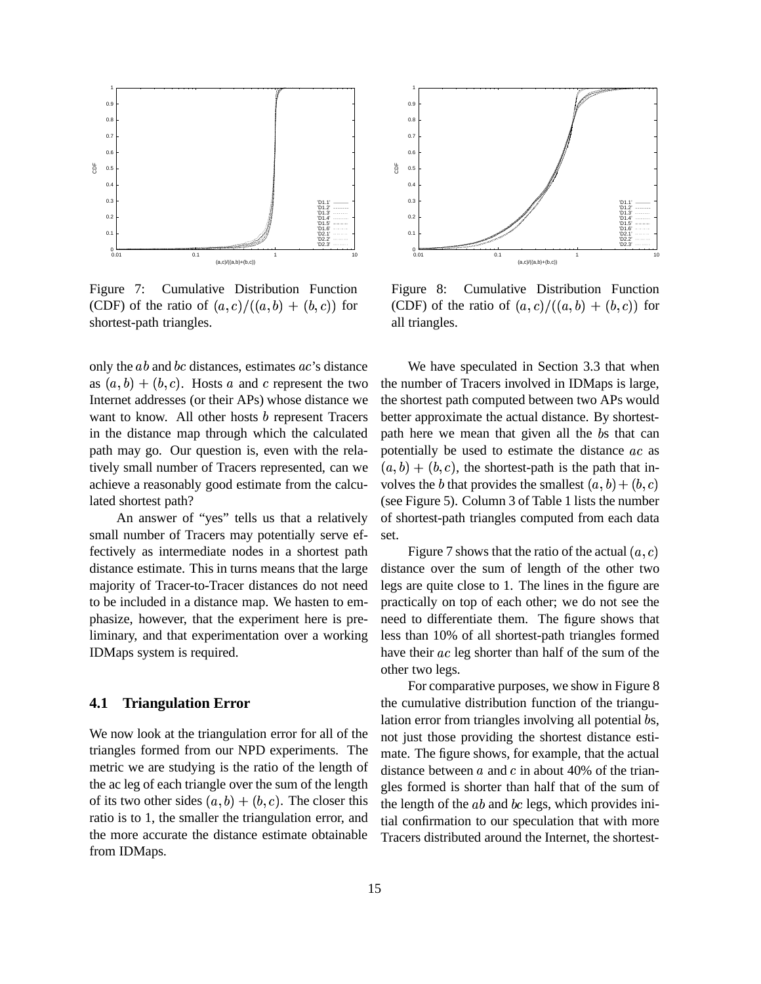

Figure 7: Cumulative Distribution Function (CDF) of the ratio of  $(a, c)/((a, b) + (b, c))$  for shortest-path triangles.

only the  $ab$  and  $bc$  distances, estimates  $ac$ 's distance as  $(a, b) + (b, c)$ . Hosts a and c represent the two Internet addresses (or their APs) whose distance we want to know. All other hosts  $b$  represent Tracers in the distance map through which the calculated path may go. Our question is, even with the relatively small number of Tracers represented, can we achieve a reasonably good estimate from the calculated shortest path?

An answer of "yes" tells us that a relatively small number of Tracers may potentially serve effectively as intermediate nodes in a shortest path distance estimate. This in turns means that the large majority of Tracer-to-Tracer distances do not need to be included in a distance map. We hasten to emphasize, however, that the experiment here is preliminary, and that experimentation over a working IDMaps system is required.

## **4.1 Triangulation Error**

We now look at the triangulation error for all of the triangles formed from our NPD experiments. The metric we are studying is the ratio of the length of the ac leg of each triangle over the sum of the length of its two other sides  $(a, b) + (b, c)$ . The closer this ratio is to 1, the smaller the triangulation error, and the more accurate the distance estimate obtainable from IDMaps.



Figure 8: Cumulative Distribution Function (CDF) of the ratio of  $(a, c)/((a, b) + (b, c))$  for all triangles.

We have speculated in Section 3.3 that when the number of Tracers involved in IDMaps is large, the shortest path computed between two APs would better approximate the actual distance. By shortestpath here we mean that given all the bs that can potentially be used to estimate the distance  $ac$  as  $(a, b) + (b, c)$ , the shortest-path is the path that involves the b that provides the smallest  $(a, b) + (b, c)$ (see Figure 5). Column 3 of Table 1 lists the number of shortest-path triangles computed from each data set.

Figure 7 shows that the ratio of the actual  $(a, c)$ distance over the sum of length of the other two legs are quite close to 1. The lines in the figure are practically on top of each other; we do not see the need to differentiate them. The figure shows that less than 10% of all shortest-path triangles formed have their ac leg shorter than half of the sum of the other two legs.

For comparative purposes, we show in Figure 8 the cumulative distribution function of the triangulation error from triangles involving all potential bs, not just those providing the shortest distance estimate. The figure shows, for example, that the actual distance between  $a$  and  $c$  in about 40% of the triangles formed is shorter than half that of the sum of the length of the  $ab$  and  $bc$  legs, which provides initial confirmation to our speculation that with more Tracers distributed around the Internet, the shortest-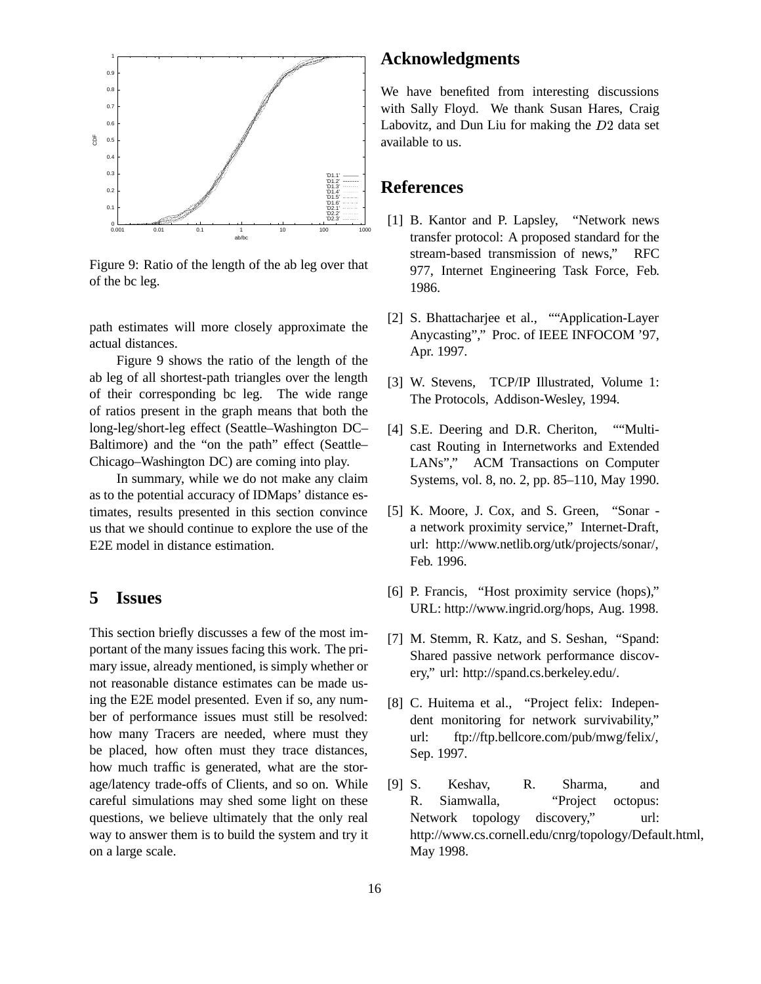

Figure 9: Ratio of the length of the ab leg over that of the bc leg.

path estimates will more closely approximate the actual distances.

Figure 9 shows the ratio of the length of the ab leg of all shortest-path triangles over the length of their corresponding bc leg. The wide range of ratios present in the graph means that both the long-leg/short-leg effect (Seattle–Washington DC– Baltimore) and the "on the path" effect (Seattle– Chicago–Washington DC) are coming into play.

In summary, while we do not make any claim as to the potential accuracy of IDMaps' distance estimates, results presented in this section convince us that we should continue to explore the use of the E2E model in distance estimation.

## **5 Issues**

This section briefly discusses a few of the most important of the many issues facing this work. The primary issue, already mentioned, is simply whether or not reasonable distance estimates can be made using the E2E model presented. Even if so, any number of performance issues must still be resolved: how many Tracers are needed, where must they be placed, how often must they trace distances, how much traffic is generated, what are the storage/latency trade-offs of Clients, and so on. While careful simulations may shed some light on these questions, we believe ultimately that the only real way to answer them is to build the system and try it on a large scale.

## **Acknowledgments**

We have benefited from interesting discussions with Sally Floyd. We thank Susan Hares, Craig Labovitz, and Dun Liu for making the  $D2$  data set available to us.

## **References**

- [1] B. Kantor and P. Lapsley, "Network news transfer protocol: A proposed standard for the stream-based transmission of news," RFC 977, Internet Engineering Task Force, Feb. 1986.
- [2] S. Bhattacharjee et al., ""Application-Layer Anycasting"," Proc. of IEEE INFOCOM '97, Apr. 1997.
- [3] W. Stevens, TCP/IP Illustrated, Volume 1: The Protocols, Addison-Wesley, 1994.
- [4] S.E. Deering and D.R. Cheriton, ""Multicast Routing in Internetworks and Extended LANs"," ACM Transactions on Computer Systems, vol. 8, no. 2, pp. 85–110, May 1990.
- [5] K. Moore, J. Cox, and S. Green, "Sonar a network proximity service," Internet-Draft, url: http://www.netlib.org/utk/projects/sonar/, Feb. 1996.
- [6] P. Francis, "Host proximity service (hops)," URL: http://www.ingrid.org/hops, Aug. 1998.
- [7] M. Stemm, R. Katz, and S. Seshan, "Spand: Shared passive network performance discovery," url: http://spand.cs.berkeley.edu/.
- [8] C. Huitema et al., "Project felix: Independent monitoring for network survivability," url: ftp://ftp.bellcore.com/pub/mwg/felix/, Sep. 1997.
- [9] S. Keshav, R. Sharma, and R. Siamwalla, "Project octopus: Network topology discovery," url: http://www.cs.cornell.edu/cnrg/topology/Default.html, May 1998.